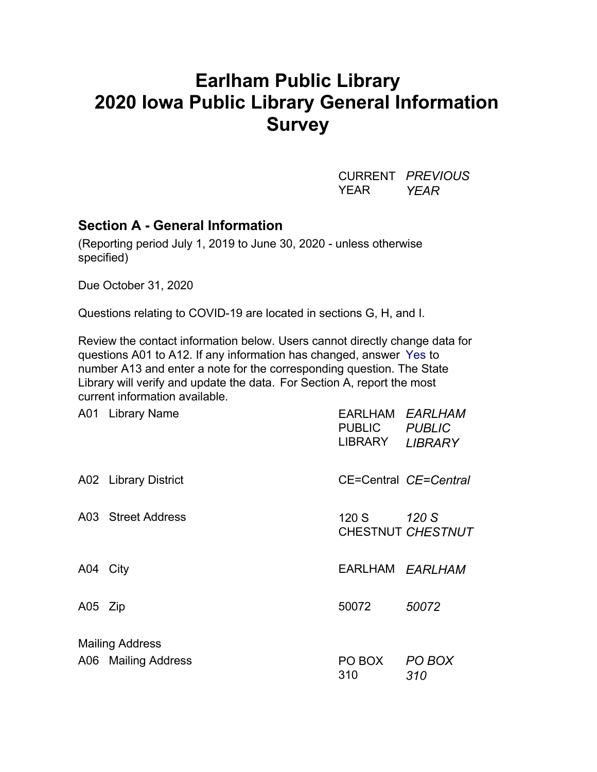# **Earlham Public Library 2020 Iowa Public Library General Information Survey**

CURRENT *PREVIOUS* YEAR *YEAR*

### **Section A - General Information**

(Reporting period July 1, 2019 to June 30, 2020 - unless otherwise specified)

Due October 31, 2020

Questions relating to COVID-19 are located in sections G, H, and I.

Review the contact information below. Users cannot directly change data for questions A01 to A12. If any information has changed, answer Yes to number A13 and enter a note for the corresponding question. The State Library will verify and update the data. For Section A, report the most current information available.

|          | A01 Library Name       | EARLHAM EARLHAM<br>PUBLIC PUBLIC<br>LIBRARY | <b>LIBRARY</b>             |  |  |
|----------|------------------------|---------------------------------------------|----------------------------|--|--|
|          | A02 Library District   |                                             | CE=Central CE=Central      |  |  |
|          | A03 Street Address     | 120 S                                       | 120 S<br>CHESTNUT CHESTNUT |  |  |
| A04 City |                        | EARLHAM EARLHAM                             |                            |  |  |
| A05 Zip  |                        | 50072                                       | 50072                      |  |  |
|          | <b>Mailing Address</b> |                                             |                            |  |  |
|          | A06 Mailing Address    | PO BOX<br>310                               | PO BOX<br>310              |  |  |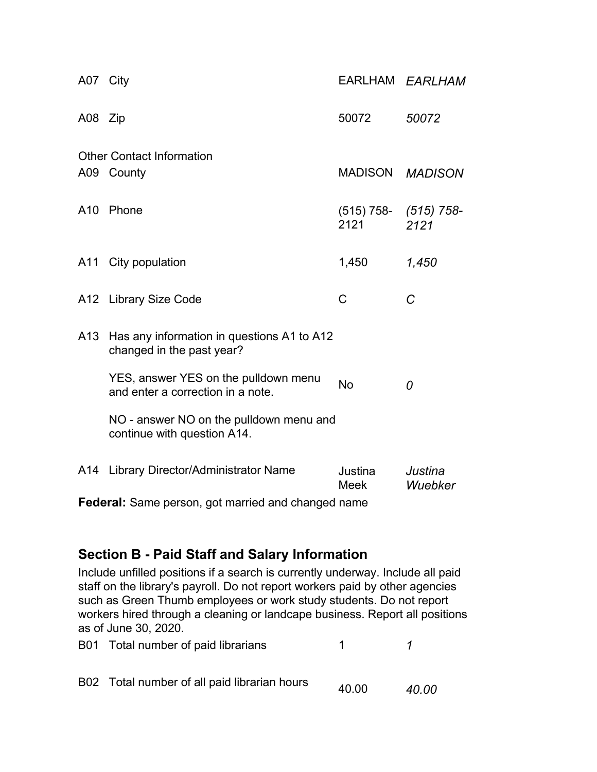| A07 City        |                                                                           |                                   | EARLHAM EARLHAM    |  |  |
|-----------------|---------------------------------------------------------------------------|-----------------------------------|--------------------|--|--|
| A08 Zip         |                                                                           | 50072                             | 50072              |  |  |
|                 | <b>Other Contact Information</b>                                          |                                   |                    |  |  |
|                 | A09 County                                                                | MADISON MADISON                   |                    |  |  |
|                 | A10 Phone                                                                 | $(515)$ 758- $(515)$ 758-<br>2121 | 2121               |  |  |
|                 | A11 City population                                                       | 1,450                             | 1,450              |  |  |
|                 | A12 Library Size Code                                                     | C                                 | C                  |  |  |
| A <sub>13</sub> | Has any information in questions A1 to A12<br>changed in the past year?   |                                   |                    |  |  |
|                 | YES, answer YES on the pulldown menu<br>and enter a correction in a note. | <b>No</b>                         | $\theta$           |  |  |
|                 | NO - answer NO on the pulldown menu and<br>continue with question A14.    |                                   |                    |  |  |
|                 | A14 Library Director/Administrator Name                                   | Justina<br>Meek                   | Justina<br>Wuebker |  |  |
|                 | Federal: Same person, got married and changed name                        |                                   |                    |  |  |

# **Section B - Paid Staff and Salary Information**

Include unfilled positions if a search is currently underway. Include all paid staff on the library's payroll. Do not report workers paid by other agencies such as Green Thumb employees or work study students. Do not report workers hired through a cleaning or landcape business. Report all positions as of June 30, 2020.

| B01 Total number of paid librarians          |       |       |
|----------------------------------------------|-------|-------|
| B02 Total number of all paid librarian hours | 40.00 | 40.00 |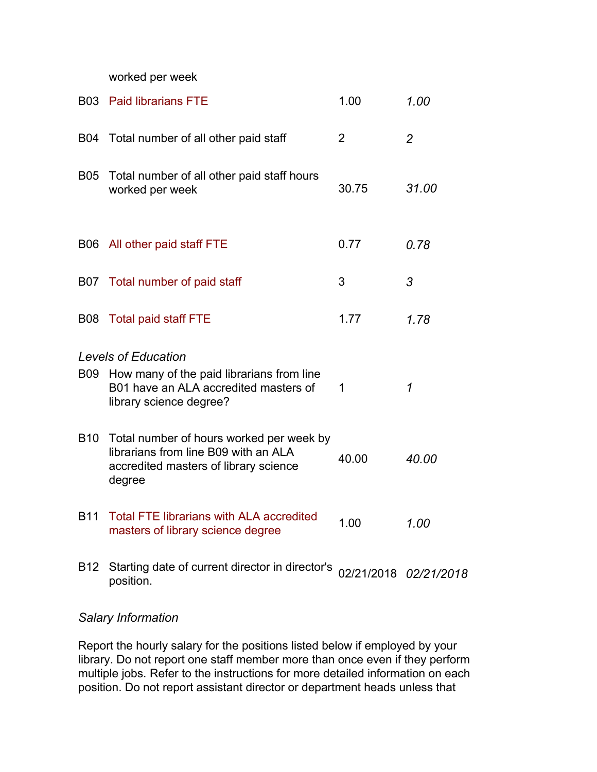worked per week

|            | <b>B03</b> Paid librarians FTE                                                                                                                  | 1.00  | 1.00                  |
|------------|-------------------------------------------------------------------------------------------------------------------------------------------------|-------|-----------------------|
|            | B04 Total number of all other paid staff                                                                                                        | 2     | $\overline{2}$        |
| <b>B05</b> | Total number of all other paid staff hours<br>worked per week                                                                                   | 30.75 | 31.00                 |
|            | B06 All other paid staff FTE                                                                                                                    | 0.77  | 0.78                  |
|            | B07 Total number of paid staff                                                                                                                  | 3     | 3                     |
|            | B08 Total paid staff FTE                                                                                                                        | 1.77  | 1.78                  |
|            | <b>Levels of Education</b><br>B09 How many of the paid librarians from line<br>B01 have an ALA accredited masters of<br>library science degree? | 1     | $\mathcal I$          |
| <b>B10</b> | Total number of hours worked per week by<br>librarians from line B09 with an ALA<br>accredited masters of library science<br>degree             | 40.00 | 40.00                 |
| <b>B11</b> | <b>Total FTE librarians with ALA accredited</b><br>masters of library science degree                                                            | 1.00  | 1.00                  |
| B12        | Starting date of current director in director's<br>position.                                                                                    |       | 02/21/2018 02/21/2018 |

#### *Salary Information*

Report the hourly salary for the positions listed below if employed by your library. Do not report one staff member more than once even if they perform multiple jobs. Refer to the instructions for more detailed information on each position. Do not report assistant director or department heads unless that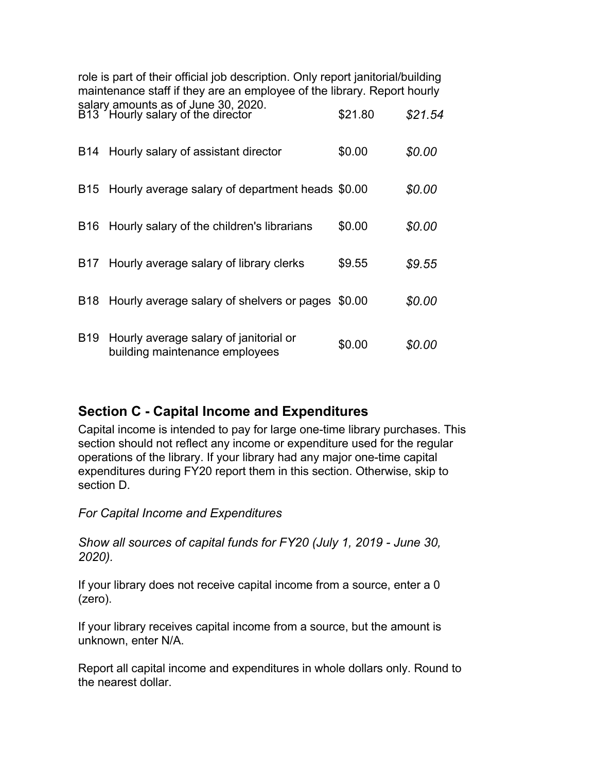role is part of their official job description. Only report janitorial/building maintenance staff if they are an employee of the library. Report hourly salary amounts as of June 30, 2020. B13 Hourly salary of the director \$21.80 *\$21.54*

| <b>B14</b>      | Hourly salary of assistant director                                      | \$0.00 | \$0.00 |
|-----------------|--------------------------------------------------------------------------|--------|--------|
| B <sub>15</sub> | Hourly average salary of department heads \$0.00                         |        | \$0.00 |
| <b>B16</b>      | Hourly salary of the children's librarians                               | \$0.00 | \$0.00 |
| B17             | Hourly average salary of library clerks                                  | \$9.55 | \$9.55 |
| <b>B18</b>      | Hourly average salary of shelvers or pages \$0.00                        |        | \$0.00 |
| <b>B19</b>      | Hourly average salary of janitorial or<br>building maintenance employees | \$0.00 | SO.OO  |

# **Section C - Capital Income and Expenditures**

Capital income is intended to pay for large one-time library purchases. This section should not reflect any income or expenditure used for the regular operations of the library. If your library had any major one-time capital expenditures during FY20 report them in this section. Otherwise, skip to section D.

*For Capital Income and Expenditures*

*Show all sources of capital funds for FY20 (July 1, 2019 - June 30, 2020).*

If your library does not receive capital income from a source, enter a 0 (zero).

If your library receives capital income from a source, but the amount is unknown, enter N/A.

Report all capital income and expenditures in whole dollars only. Round to the nearest dollar.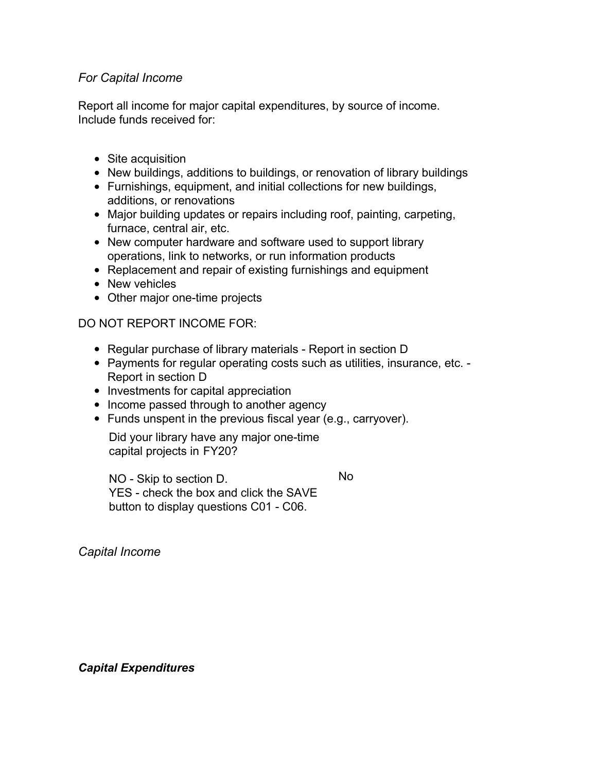#### *For Capital Income*

Report all income for major capital expenditures, by source of income. Include funds received for:

- Site acquisition
- New buildings, additions to buildings, or renovation of library buildings
- Furnishings, equipment, and initial collections for new buildings, additions, or renovations
- Major building updates or repairs including roof, painting, carpeting, furnace, central air, etc.
- New computer hardware and software used to support library operations, link to networks, or run information products
- Replacement and repair of existing furnishings and equipment
- New vehicles
- Other major one-time projects

DO NOT REPORT INCOME FOR:

- Regular purchase of library materials Report in section D
- Payments for regular operating costs such as utilities, insurance, etc. Report in section D
- Investments for capital appreciation
- Income passed through to another agency
- Funds unspent in the previous fiscal year (e.g., carryover).

Did your library have any major one-time capital projects in FY20?

NO - Skip to section D. YES - check the box and click the SAVE button to display questions C01 - C06. No

*Capital Income*

*Capital Expenditures*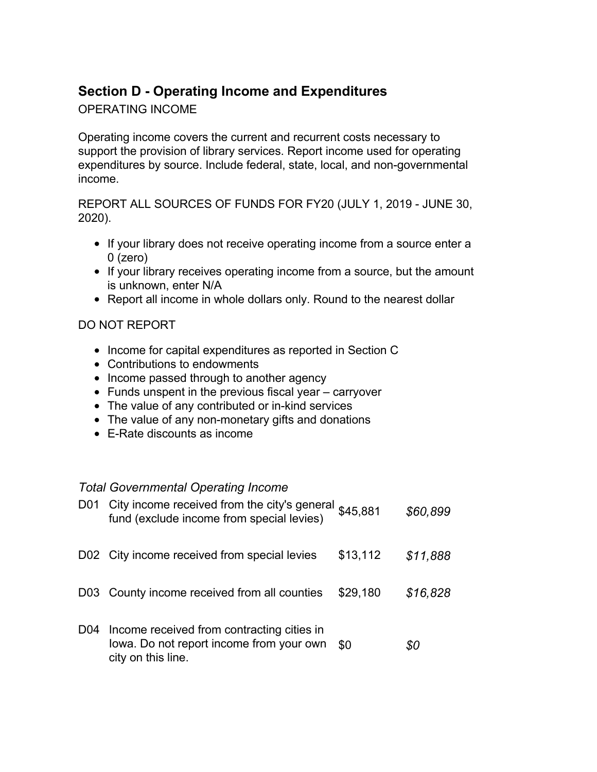# **Section D - Operating Income and Expenditures**

### OPERATING INCOME

Operating income covers the current and recurrent costs necessary to support the provision of library services. Report income used for operating expenditures by source. Include federal, state, local, and non-governmental income.

REPORT ALL SOURCES OF FUNDS FOR FY20 (JULY 1, 2019 - JUNE 30, 2020).

- If your library does not receive operating income from a source enter a 0 (zero)
- If your library receives operating income from a source, but the amount is unknown, enter N/A
- Report all income in whole dollars only. Round to the nearest dollar

#### DO NOT REPORT

- Income for capital expenditures as reported in Section C
- Contributions to endowments
- Income passed through to another agency
- Funds unspent in the previous fiscal year carryover
- The value of any contributed or in-kind services
- The value of any non-monetary gifts and donations
- E-Rate discounts as income

#### *Total Governmental Operating Income*

|                 | D01 City income received from the city's general \$45,881<br>fund (exclude income from special levies)       |          | \$60,899 |
|-----------------|--------------------------------------------------------------------------------------------------------------|----------|----------|
|                 | D02 City income received from special levies                                                                 | \$13,112 | \$11,888 |
|                 | D03 County income received from all counties                                                                 | \$29,180 | \$16,828 |
| D <sub>04</sub> | Income received from contracting cities in<br>lowa. Do not report income from your own<br>city on this line. | \$0      | 80       |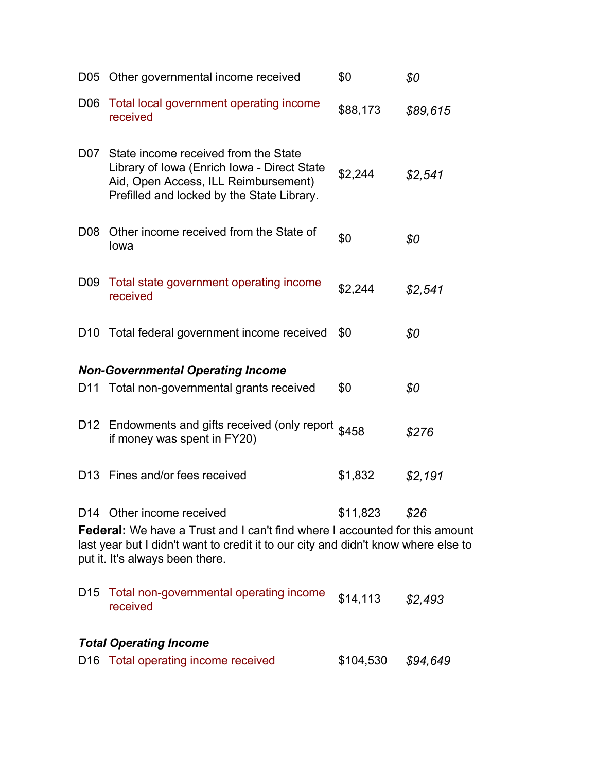|                 | D05 Other governmental income received                                                                                                                                                                                                   | \$0       | \$0      |
|-----------------|------------------------------------------------------------------------------------------------------------------------------------------------------------------------------------------------------------------------------------------|-----------|----------|
| D <sub>06</sub> | Total local government operating income<br>received                                                                                                                                                                                      | \$88,173  | \$89,615 |
|                 | D07 State income received from the State<br>Library of Iowa (Enrich Iowa - Direct State<br>Aid, Open Access, ILL Reimbursement)<br>Prefilled and locked by the State Library.                                                            | \$2,244   | \$2,541  |
|                 | D08 Other income received from the State of<br>lowa                                                                                                                                                                                      | \$0       | \$0      |
| D <sub>09</sub> | Total state government operating income<br>received                                                                                                                                                                                      | \$2,244   | \$2,541  |
|                 | D10 Total federal government income received                                                                                                                                                                                             | \$0       | \$0      |
|                 | <b>Non-Governmental Operating Income</b>                                                                                                                                                                                                 |           |          |
| D <sub>11</sub> | Total non-governmental grants received                                                                                                                                                                                                   | \$0       | \$0      |
|                 | D12 Endowments and gifts received (only report \$458<br>if money was spent in FY20)                                                                                                                                                      |           | \$276    |
| D <sub>13</sub> | Fines and/or fees received                                                                                                                                                                                                               | \$1,832   | \$2,191  |
|                 | D14 Other income received<br><b>Federal:</b> We have a Trust and I can't find where I accounted for this amount<br>last year but I didn't want to credit it to our city and didn't know where else to<br>put it. It's always been there. | \$11,823  | \$26     |
| D <sub>15</sub> | Total non-governmental operating income<br>received                                                                                                                                                                                      | \$14,113  | \$2,493  |
|                 | <b>Total Operating Income</b>                                                                                                                                                                                                            |           |          |
| D <sub>16</sub> | Total operating income received                                                                                                                                                                                                          | \$104,530 | \$94,649 |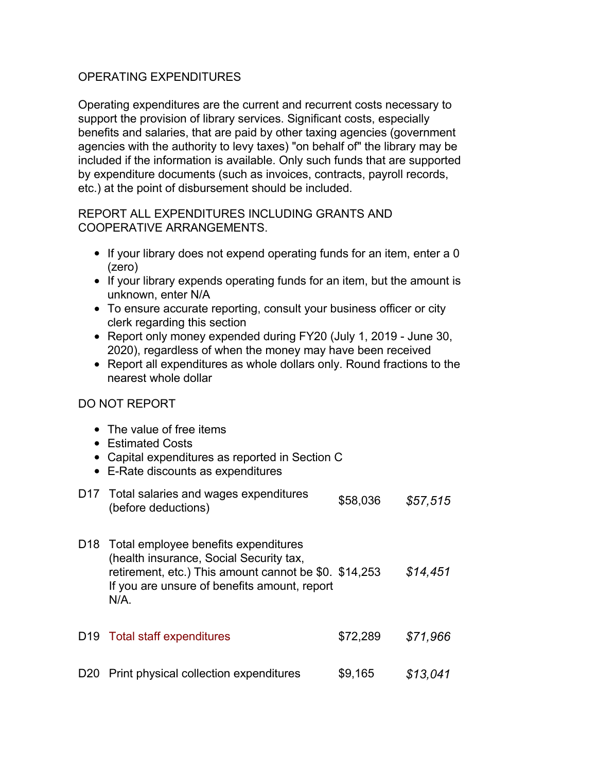#### OPERATING EXPENDITURES

Operating expenditures are the current and recurrent costs necessary to support the provision of library services. Significant costs, especially benefits and salaries, that are paid by other taxing agencies (government agencies with the authority to levy taxes) "on behalf of" the library may be included if the information is available. Only such funds that are supported by expenditure documents (such as invoices, contracts, payroll records, etc.) at the point of disbursement should be included.

#### REPORT ALL EXPENDITURES INCLUDING GRANTS AND COOPERATIVE ARRANGEMENTS.

- If your library does not expend operating funds for an item, enter a 0 (zero)
- If your library expends operating funds for an item, but the amount is unknown, enter N/A
- To ensure accurate reporting, consult your business officer or city clerk regarding this section
- Report only money expended during FY20 (July 1, 2019 June 30, 2020), regardless of when the money may have been received
- Report all expenditures as whole dollars only. Round fractions to the nearest whole dollar

#### DO NOT REPORT

- The value of free items
- Estimated Costs
- Capital expenditures as reported in Section C
- E-Rate discounts as expenditures
- D17 Total salaries and wages expenditures Fotal salaries and wages experienties<br>(before deductions)
- D18 Total employee benefits expenditures (health insurance, Social Security tax, retirement, etc.) This amount cannot be \$0. \$14,253 *\$14,451* If you are unsure of benefits amount, report N/A.

| D <sub>19</sub> Total staff expenditures   | \$72.289 | \$71.966 |
|--------------------------------------------|----------|----------|
| D20 Print physical collection expenditures | \$9,165  | \$13,041 |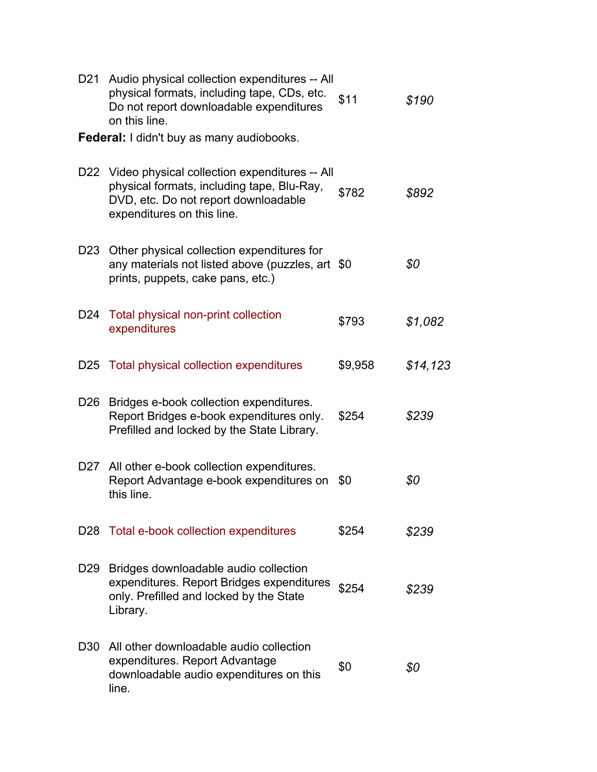| D21             | Audio physical collection expenditures -- All<br>physical formats, including tape, CDs, etc.<br>Do not report downloadable expenditures<br>on this line.              | \$11    | \$190    |
|-----------------|-----------------------------------------------------------------------------------------------------------------------------------------------------------------------|---------|----------|
|                 | <b>Federal:</b> I didn't buy as many audiobooks.                                                                                                                      |         |          |
|                 | D22 Video physical collection expenditures -- All<br>physical formats, including tape, Blu-Ray,<br>DVD, etc. Do not report downloadable<br>expenditures on this line. | \$782   | \$892    |
| D <sub>23</sub> | Other physical collection expenditures for<br>any materials not listed above (puzzles, art \$0<br>prints, puppets, cake pans, etc.)                                   |         | \$0      |
| D <sub>24</sub> | Total physical non-print collection<br>expenditures                                                                                                                   | \$793   | \$1,082  |
| D <sub>25</sub> | Total physical collection expenditures                                                                                                                                | \$9,958 | \$14,123 |
| D <sub>26</sub> | Bridges e-book collection expenditures.<br>Report Bridges e-book expenditures only.<br>Prefilled and locked by the State Library.                                     | \$254   | \$239    |
| D27             | All other e-book collection expenditures.<br>Report Advantage e-book expenditures on<br>this line.                                                                    | \$0     | \$0      |
|                 | D28 Total e-book collection expenditures                                                                                                                              | \$254   | \$239    |
| D <sub>29</sub> | Bridges downloadable audio collection<br>expenditures. Report Bridges expenditures<br>only. Prefilled and locked by the State<br>Library.                             | \$254   | \$239    |
| D <sub>30</sub> | All other downloadable audio collection<br>expenditures. Report Advantage<br>downloadable audio expenditures on this<br>line.                                         | \$0     | \$0      |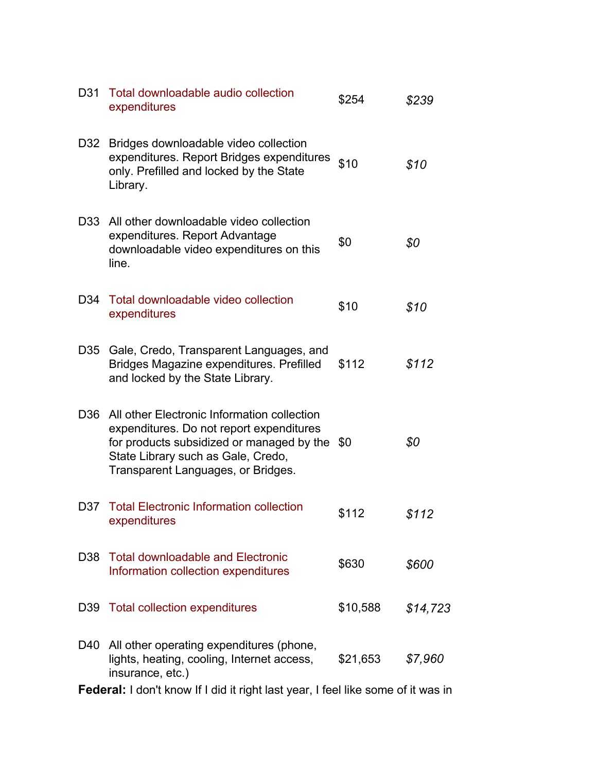|                 | Federal: I don't know If I did it right last year, I feel like some of it was in                                                                                                                                     |          |          |
|-----------------|----------------------------------------------------------------------------------------------------------------------------------------------------------------------------------------------------------------------|----------|----------|
|                 | D40 All other operating expenditures (phone,<br>lights, heating, cooling, Internet access,<br>insurance, etc.)                                                                                                       | \$21,653 | \$7,960  |
|                 | D39 Total collection expenditures                                                                                                                                                                                    | \$10,588 | \$14,723 |
|                 | D38 Total downloadable and Electronic<br>Information collection expenditures                                                                                                                                         | \$630    | \$600    |
| D37             | <b>Total Electronic Information collection</b><br>expenditures                                                                                                                                                       | \$112    | \$112    |
| D <sub>36</sub> | All other Electronic Information collection<br>expenditures. Do not report expenditures<br>for products subsidized or managed by the \$0<br>State Library such as Gale, Credo,<br>Transparent Languages, or Bridges. |          | \$0      |
| D35             | Gale, Credo, Transparent Languages, and<br>Bridges Magazine expenditures. Prefilled<br>and locked by the State Library.                                                                                              | \$112    | \$112    |
| D34             | Total downloadable video collection<br>expenditures                                                                                                                                                                  | \$10     | \$10     |
| D33             | All other downloadable video collection<br>expenditures. Report Advantage<br>downloadable video expenditures on this<br>line.                                                                                        | \$0      | \$0      |
| D32             | Bridges downloadable video collection<br>expenditures. Report Bridges expenditures<br>only. Prefilled and locked by the State<br>Library.                                                                            | \$10     | \$10     |
| D31             | Total downloadable audio collection<br>expenditures                                                                                                                                                                  | \$254    | \$239    |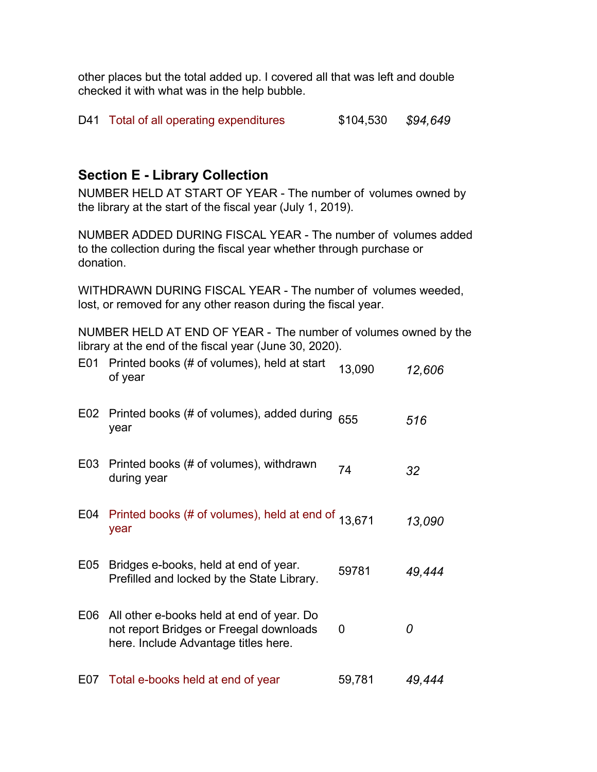other places but the total added up. I covered all that was left and double checked it with what was in the help bubble.

|  | D41 Total of all operating expenditures | \$104,530 | \$94,649 |
|--|-----------------------------------------|-----------|----------|
|--|-----------------------------------------|-----------|----------|

# **Section E - Library Collection**

NUMBER HELD AT START OF YEAR - The number of volumes owned by the library at the start of the fiscal year (July 1, 2019).

NUMBER ADDED DURING FISCAL YEAR - The number of volumes added to the collection during the fiscal year whether through purchase or donation.

WITHDRAWN DURING FISCAL YEAR - The number of volumes weeded, lost, or removed for any other reason during the fiscal year.

NUMBER HELD AT END OF YEAR - The number of volumes owned by the library at the end of the fiscal year (June 30, 2020).

| E01              | Printed books (# of volumes), held at start<br>of year                                                                       | 13,090 | 12,606 |
|------------------|------------------------------------------------------------------------------------------------------------------------------|--------|--------|
| E02              | Printed books (# of volumes), added during<br>year                                                                           | 655    | 516    |
| E <sub>0</sub> 3 | Printed books (# of volumes), withdrawn<br>during year                                                                       | 74     | 32     |
| E04              | Printed books (# of volumes), held at end of 13,671<br>year                                                                  |        | 13,090 |
| E05              | Bridges e-books, held at end of year.<br>Prefilled and locked by the State Library.                                          | 59781  | 49,444 |
| E06              | All other e-books held at end of year. Do<br>not report Bridges or Freegal downloads<br>here. Include Advantage titles here. | 0      | 0      |
| E07              | Total e-books held at end of year                                                                                            | 59,781 | 49,444 |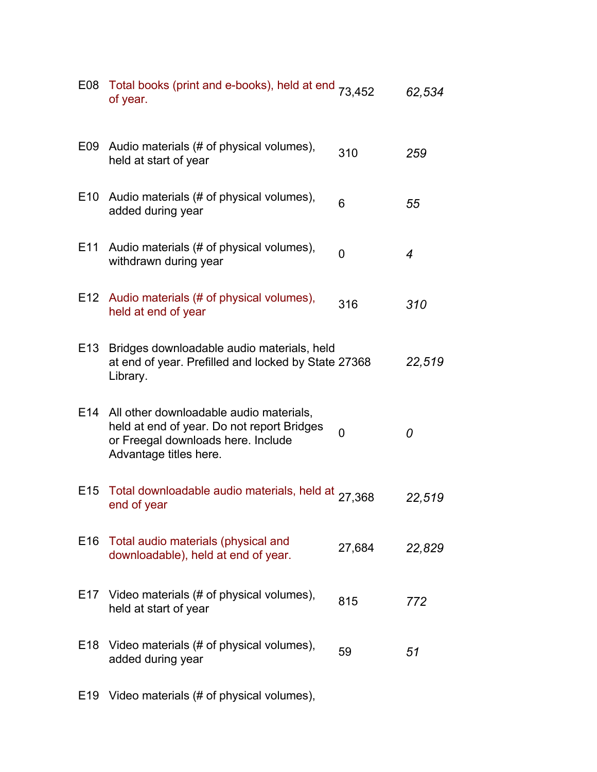| E08             | Total books (print and e-books), held at end 73,452<br>of year.                                                                                       |          | 62,534 |
|-----------------|-------------------------------------------------------------------------------------------------------------------------------------------------------|----------|--------|
| E09             | Audio materials (# of physical volumes),<br>held at start of year                                                                                     | 310      | 259    |
| E <sub>10</sub> | Audio materials (# of physical volumes),<br>added during year                                                                                         | 6        | 55     |
| E11             | Audio materials (# of physical volumes),<br>withdrawn during year                                                                                     | $\Omega$ | 4      |
| E12             | Audio materials (# of physical volumes),<br>held at end of year                                                                                       | 316      | 310    |
| E <sub>13</sub> | Bridges downloadable audio materials, held<br>at end of year. Prefilled and locked by State 27368<br>Library.                                         |          | 22,519 |
| E14             | All other downloadable audio materials,<br>held at end of year. Do not report Bridges<br>or Freegal downloads here. Include<br>Advantage titles here. | 0        | 0      |
| E15             | Total downloadable audio materials, held at 27,368<br>end of year                                                                                     |          | 22,519 |
| E <sub>16</sub> | Total audio materials (physical and<br>downloadable), held at end of year.                                                                            | 27,684   | 22,829 |
| E17             | Video materials (# of physical volumes),<br>held at start of year                                                                                     | 815      | 772    |
| E <sub>18</sub> | Video materials (# of physical volumes),<br>added during year                                                                                         | 59       | 51     |
| E <sub>19</sub> | Video materials (# of physical volumes),                                                                                                              |          |        |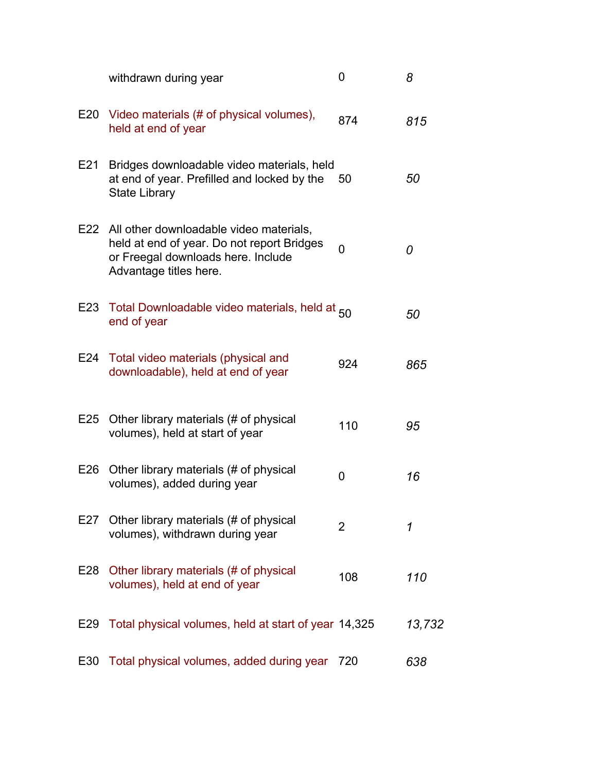|     | withdrawn during year                                                                                                                                     | 0   | 8      |
|-----|-----------------------------------------------------------------------------------------------------------------------------------------------------------|-----|--------|
|     | E20 Video materials (# of physical volumes),<br>held at end of year                                                                                       | 874 | 815    |
| E21 | Bridges downloadable video materials, held<br>at end of year. Prefilled and locked by the<br><b>State Library</b>                                         | 50  | 50     |
|     | E22 All other downloadable video materials,<br>held at end of year. Do not report Bridges<br>or Freegal downloads here. Include<br>Advantage titles here. | 0   | 0      |
|     | E23 Total Downloadable video materials, held at 50<br>end of year                                                                                         |     | 50     |
|     | E24 Total video materials (physical and<br>downloadable), held at end of year                                                                             | 924 | 865    |
| E25 | Other library materials (# of physical<br>volumes), held at start of year                                                                                 | 110 | 95     |
| E26 | Other library materials (# of physical<br>volumes), added during year                                                                                     | 0   | 16     |
| E27 | Other library materials (# of physical<br>volumes), withdrawn during year                                                                                 | 2   | 1      |
| E28 | Other library materials (# of physical<br>volumes), held at end of year                                                                                   | 108 | 110    |
| E29 | Total physical volumes, held at start of year 14,325                                                                                                      |     | 13,732 |
| E30 | Total physical volumes, added during year                                                                                                                 | 720 | 638    |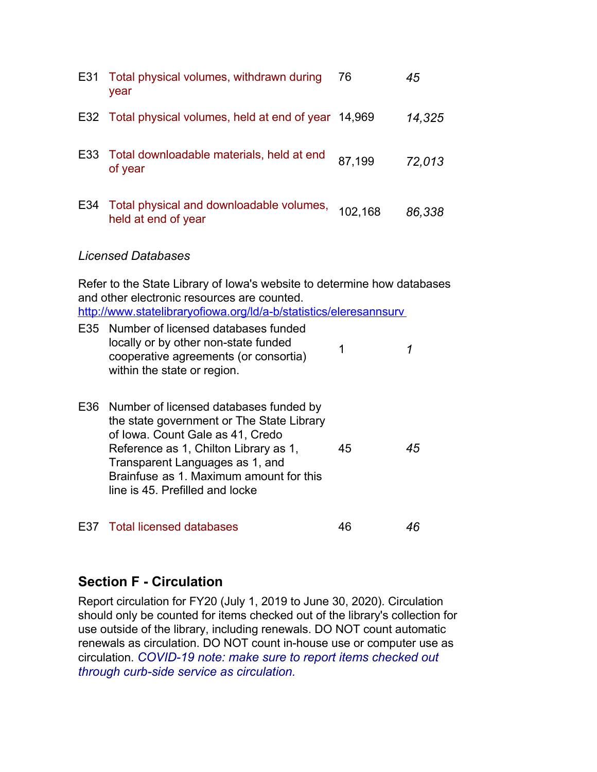| E31 | Total physical volumes, withdrawn during<br>year                | 76      | 45     |
|-----|-----------------------------------------------------------------|---------|--------|
|     | E32 Total physical volumes, held at end of year 14,969          |         | 14,325 |
|     | E33 Total downloadable materials, held at end<br>of year        | 87,199  | 72,013 |
| E34 | Total physical and downloadable volumes,<br>held at end of year | 102,168 | 86,338 |

#### *Licensed Databases*

Refer to the State Library of Iowa's website to determine how databases and other electronic resources are counted. <http://www.statelibraryofiowa.org/ld/a-b/statistics/eleresannsurv>

| E35 Number of licensed databases funded |  |
|-----------------------------------------|--|
| locally or by other non-state funded    |  |
| cooperative agreements (or consortia)   |  |
| within the state or region.             |  |

| E36 Number of licensed databases funded by<br>the state government or The State Library<br>of Iowa. Count Gale as 41, Credo |    |    |
|-----------------------------------------------------------------------------------------------------------------------------|----|----|
| Reference as 1, Chilton Library as 1,                                                                                       | 45 | 45 |
| Transparent Languages as 1, and                                                                                             |    |    |
| Brainfuse as 1. Maximum amount for this                                                                                     |    |    |
| line is 45. Prefilled and locke                                                                                             |    |    |
|                                                                                                                             |    |    |

| E37 Total licensed databases |  |  |
|------------------------------|--|--|
|------------------------------|--|--|

# **Section F - Circulation**

Report circulation for FY20 (July 1, 2019 to June 30, 2020). Circulation should only be counted for items checked out of the library's collection for use outside of the library, including renewals. DO NOT count automatic renewals as circulation. DO NOT count in-house use or computer use as circulation. *COVID-19 note: make sure to report items checked out through curb-side service as circulation.*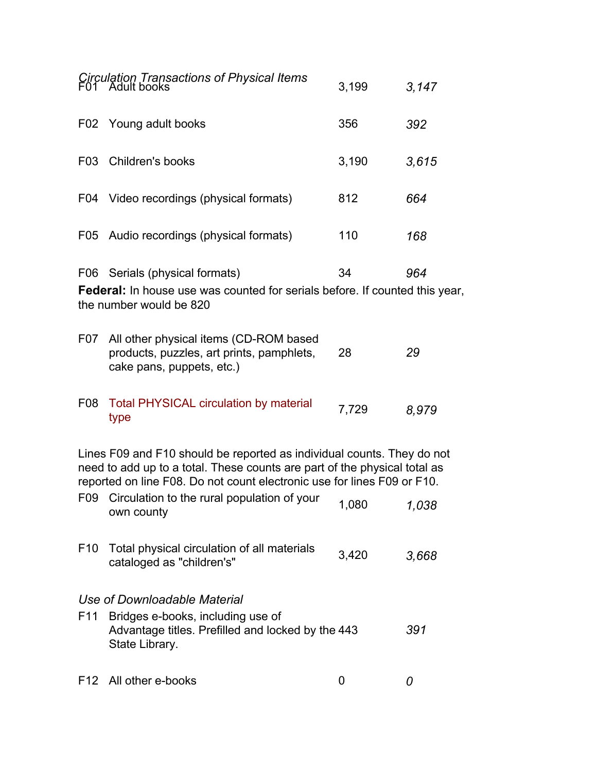|                  | Circulation Transactions of Physical Items<br>F01 Adult books                                                                                                                                                                  | 3,199 | 3,147 |
|------------------|--------------------------------------------------------------------------------------------------------------------------------------------------------------------------------------------------------------------------------|-------|-------|
|                  | F02 Young adult books                                                                                                                                                                                                          | 356   | 392   |
| F <sub>0</sub> 3 | Children's books                                                                                                                                                                                                               | 3,190 | 3,615 |
|                  | F04 Video recordings (physical formats)                                                                                                                                                                                        | 812   | 664   |
| F05              | Audio recordings (physical formats)                                                                                                                                                                                            | 110   | 168   |
|                  | F06 Serials (physical formats)<br><b>Federal:</b> In house use was counted for serials before. If counted this year,<br>the number would be 820                                                                                | 34    | 964   |
| F07              | All other physical items (CD-ROM based<br>products, puzzles, art prints, pamphlets,<br>cake pans, puppets, etc.)                                                                                                               | 28    | 29    |
| F <sub>0</sub> 8 | <b>Total PHYSICAL circulation by material</b><br>type                                                                                                                                                                          | 7,729 | 8,979 |
|                  | Lines F09 and F10 should be reported as individual counts. They do not<br>need to add up to a total. These counts are part of the physical total as<br>reported on line F08. Do not count electronic use for lines F09 or F10. |       |       |
| F <sub>09</sub>  | Circulation to the rural population of your<br>own county                                                                                                                                                                      | 1,080 | 1,038 |
| F <sub>10</sub>  | Total physical circulation of all materials<br>cataloged as "children's"                                                                                                                                                       | 3,420 | 3,668 |
|                  | Use of Downloadable Material                                                                                                                                                                                                   |       |       |
| F <sub>11</sub>  | Bridges e-books, including use of<br>Advantage titles. Prefilled and locked by the 443<br>State Library.                                                                                                                       |       | 391   |
| F12              | All other e-books                                                                                                                                                                                                              | 0     | 0     |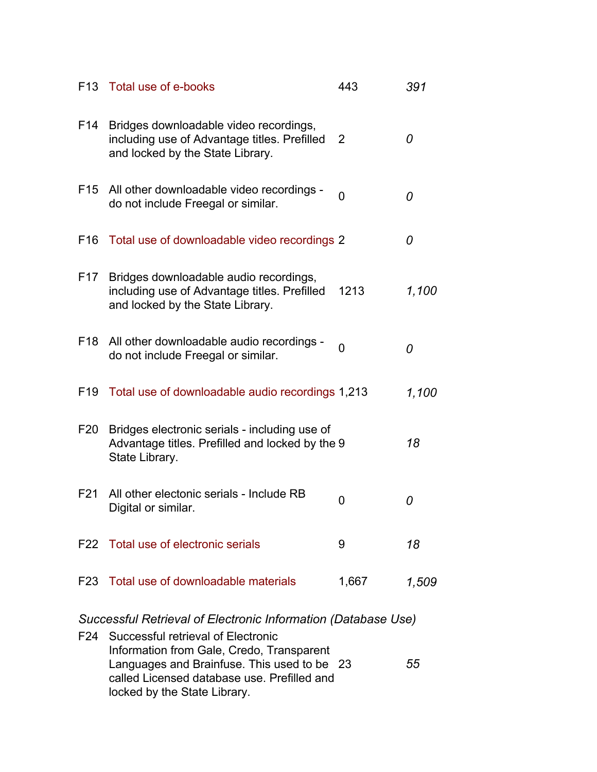|                 | F13 Total use of e-books                                                                                                   | 443      | 391   |
|-----------------|----------------------------------------------------------------------------------------------------------------------------|----------|-------|
| F14             | Bridges downloadable video recordings,<br>including use of Advantage titles. Prefilled<br>and locked by the State Library. | 2        | 0     |
|                 | F15 All other downloadable video recordings -<br>do not include Freegal or similar.                                        | $\Omega$ | 0     |
| F16             | Total use of downloadable video recordings 2                                                                               |          | 0     |
| F17             | Bridges downloadable audio recordings,<br>including use of Advantage titles. Prefilled<br>and locked by the State Library. | 1213     | 1,100 |
|                 | F18 All other downloadable audio recordings -<br>do not include Freegal or similar.                                        | $\Omega$ | 0     |
| F <sub>19</sub> | Total use of downloadable audio recordings 1,213                                                                           |          | 1,100 |
| F20             | Bridges electronic serials - including use of<br>Advantage titles. Prefilled and locked by the 9<br>State Library.         |          | 18    |
| F21             | All other electonic serials - Include RB<br>Digital or similar.                                                            | 0        | 0     |
|                 | F22 Total use of electronic serials                                                                                        | 9        | 18    |
|                 | F23 Total use of downloadable materials                                                                                    | 1,667    | 1,509 |

*Successful Retrieval of Electronic Information (Database Use)*

| F24 Successful retrieval of Electronic      |    |
|---------------------------------------------|----|
| Information from Gale, Credo, Transparent   |    |
| Languages and Brainfuse. This used to be 23 | 55 |
| called Licensed database use. Prefilled and |    |
| locked by the State Library.                |    |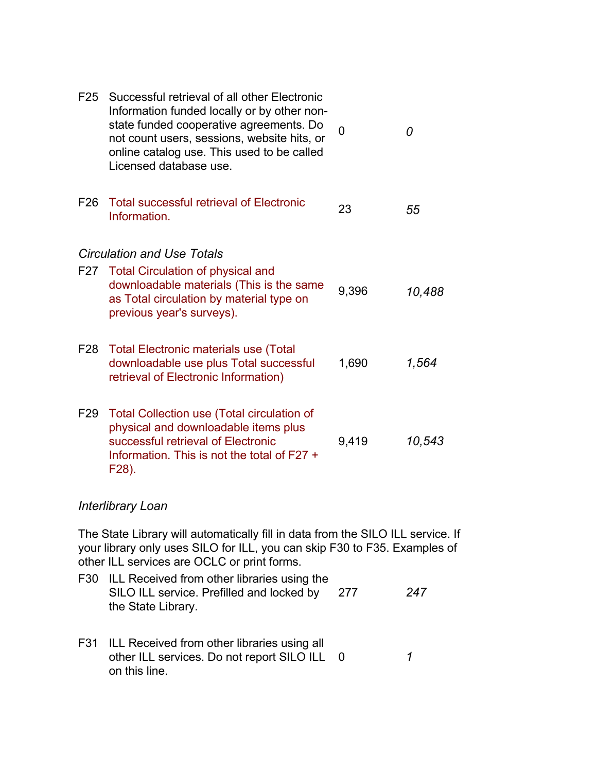| F <sub>25</sub> | Successful retrieval of all other Electronic<br>Information funded locally or by other non-<br>state funded cooperative agreements. Do<br>not count users, sessions, website hits, or<br>online catalog use. This used to be called<br>Licensed database use. | U     | 0      |
|-----------------|---------------------------------------------------------------------------------------------------------------------------------------------------------------------------------------------------------------------------------------------------------------|-------|--------|
| F <sub>26</sub> | <b>Total successful retrieval of Electronic</b><br>Information.                                                                                                                                                                                               | 23    | 55     |
|                 | <b>Circulation and Use Totals</b>                                                                                                                                                                                                                             |       |        |
| F27             | <b>Total Circulation of physical and</b><br>downloadable materials (This is the same<br>as Total circulation by material type on<br>previous year's surveys).                                                                                                 | 9,396 | 10,488 |
| F28             | <b>Total Electronic materials use (Total</b><br>downloadable use plus Total successful<br>retrieval of Electronic Information)                                                                                                                                | 1,690 | 1,564  |
| F29             | Total Collection use (Total circulation of<br>physical and downloadable items plus<br>successful retrieval of Electronic<br>Information. This is not the total of F27 +<br>F28).                                                                              | 9,419 | 10,543 |
|                 | Interlibrary Loan                                                                                                                                                                                                                                             |       |        |

The State Library will automatically fill in data from the SILO ILL service. If your library only uses SILO for ILL, you can skip F30 to F35. Examples of other ILL services are OCLC or print forms.

- F30 ILL Received from other libraries using the SILO ILL service. Prefilled and locked by the State Library. 277 *247*
- F31 ILL Received from other libraries using all other ILL services. Do not report SILO ILL 0 *1*on this line.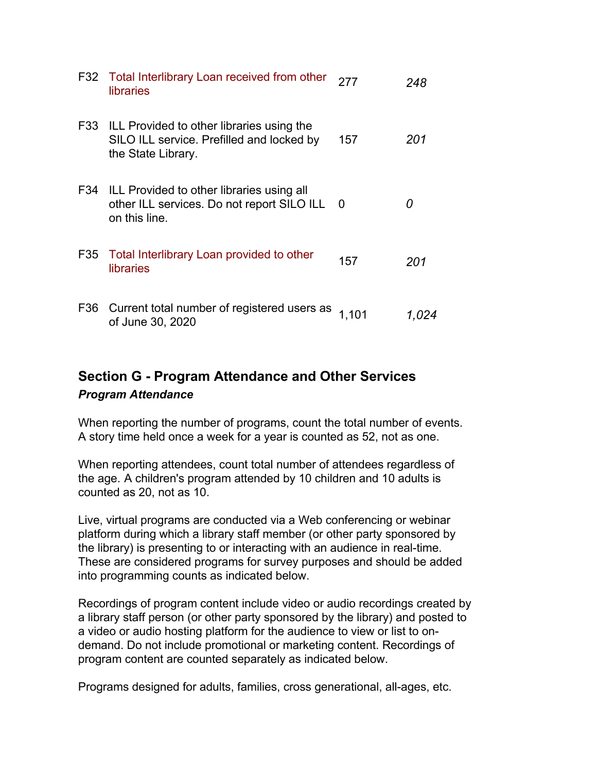|     | F32 Total Interlibrary Loan received from other<br>libraries                                                     | 277   | 248   |
|-----|------------------------------------------------------------------------------------------------------------------|-------|-------|
|     | F33 ILL Provided to other libraries using the<br>SILO ILL service. Prefilled and locked by<br>the State Library. | 157   | 201   |
| F34 | ILL Provided to other libraries using all<br>other ILL services. Do not report SILO ILL<br>on this line.         | - 0   |       |
| F35 | Total Interlibrary Loan provided to other<br>libraries                                                           | 157   | 201   |
|     | F36 Current total number of registered users as<br>of June 30, 2020                                              | 1,101 | 1.024 |

# **Section G - Program Attendance and Other Services** *Program Attendance*

When reporting the number of programs, count the total number of events. A story time held once a week for a year is counted as 52, not as one.

When reporting attendees, count total number of attendees regardless of the age. A children's program attended by 10 children and 10 adults is counted as 20, not as 10.

Live, virtual programs are conducted via a Web conferencing or webinar platform during which a library staff member (or other party sponsored by the library) is presenting to or interacting with an audience in real-time. These are considered programs for survey purposes and should be added into programming counts as indicated below.

Recordings of program content include video or audio recordings created by a library staff person (or other party sponsored by the library) and posted to a video or audio hosting platform for the audience to view or list to ondemand. Do not include promotional or marketing content. Recordings of program content are counted separately as indicated below.

Programs designed for adults, families, cross generational, all-ages, etc.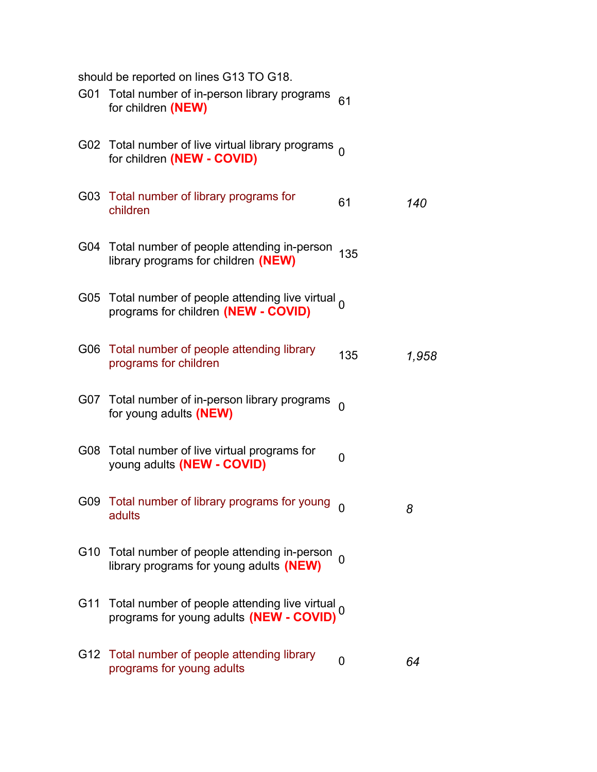|     | should be reported on lines G13 TO G18.                                                                |          |       |
|-----|--------------------------------------------------------------------------------------------------------|----------|-------|
|     | G01 Total number of in-person library programs<br>for children (NEW)                                   | 61       |       |
|     | G02 Total number of live virtual library programs $_0$<br>for children (NEW - COVID)                   |          |       |
|     | G03 Total number of library programs for<br>children                                                   | 61       | 140   |
|     | G04 Total number of people attending in-person<br>library programs for children (NEW)                  | 135      |       |
|     | G05 Total number of people attending live virtual $_0$<br>programs for children (NEW - COVID)          |          |       |
|     | G06 Total number of people attending library<br>programs for children                                  | 135      | 1,958 |
|     | G07 Total number of in-person library programs<br>for young adults (NEW)                               | $\Omega$ |       |
|     | G08 Total number of live virtual programs for<br>young adults (NEW - COVID)                            | 0        |       |
|     | G09 Total number of library programs for young<br>adults                                               | 0        | 8     |
|     | G10 Total number of people attending in-person<br>library programs for young adults (NEW)              |          |       |
| G11 | Total number of people attending live virtual,<br>programs for young adults (NEW - COVID) <sup>0</sup> |          |       |
|     | G12 Total number of people attending library<br>programs for young adults                              | 0        | 64    |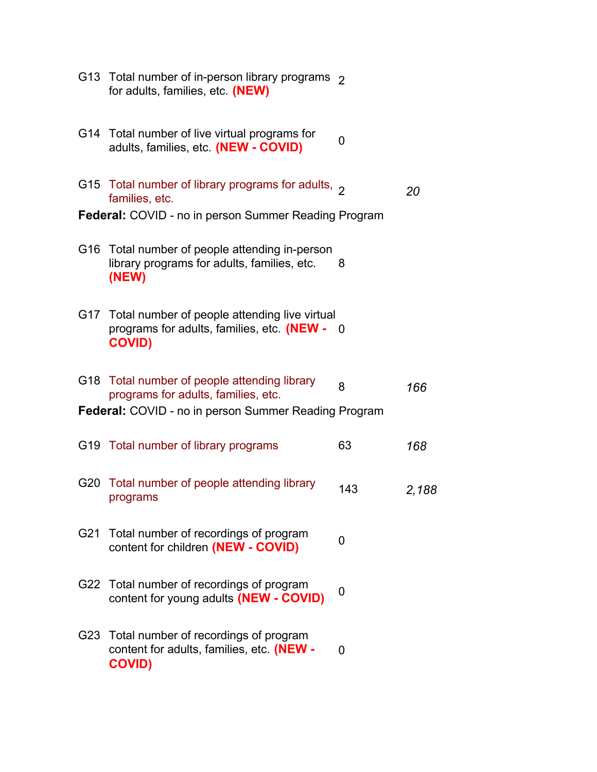|     | G13 Total number of in-person library programs 2<br>for adults, families, etc. (NEW)                             |          |       |
|-----|------------------------------------------------------------------------------------------------------------------|----------|-------|
|     | G14 Total number of live virtual programs for<br>adults, families, etc. (NEW - COVID)                            | $\Omega$ |       |
|     | G15 Total number of library programs for adults, $\sigma$<br>families, etc.                                      |          | 20    |
|     | <b>Federal:</b> COVID - no in person Summer Reading Program                                                      |          |       |
|     | G16 Total number of people attending in-person<br>library programs for adults, families, etc.<br>(NEW)           | 8        |       |
|     | G17 Total number of people attending live virtual<br>programs for adults, families, etc. (NEW -<br><b>COVID)</b> | - റ      |       |
|     | G18 Total number of people attending library<br>programs for adults, families, etc.                              | 8        | 166   |
|     | <b>Federal:</b> COVID - no in person Summer Reading Program                                                      |          |       |
|     | G19 Total number of library programs                                                                             | 63       | 168   |
|     | G20 Total number of people attending library<br>programs                                                         | 143      | 2,188 |
|     | G21 Total number of recordings of program<br>content for children (NEW - COVID)                                  | O        |       |
|     | G22 Total number of recordings of program<br>content for young adults (NEW - COVID)                              | 0        |       |
| G23 | Total number of recordings of program<br>content for adults, families, etc. (NEW -<br><b>COVID)</b>              | 0        |       |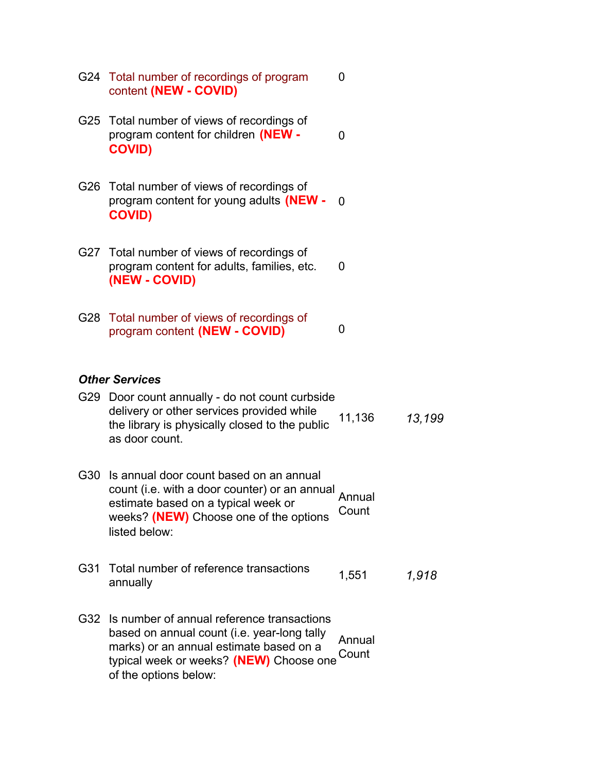|     | G24 Total number of recordings of program<br>content (NEW - COVID)                                                                                                                                       | 0               |        |  |
|-----|----------------------------------------------------------------------------------------------------------------------------------------------------------------------------------------------------------|-----------------|--------|--|
|     | G25 Total number of views of recordings of<br>program content for children (NEW -<br><b>COVID)</b>                                                                                                       | 0               |        |  |
| G26 | Total number of views of recordings of<br>program content for young adults (NEW -<br><b>COVID)</b>                                                                                                       | 0               |        |  |
|     | G27 Total number of views of recordings of<br>program content for adults, families, etc.<br>(NEW - COVID)                                                                                                | 0               |        |  |
|     | G28 Total number of views of recordings of<br>program content (NEW - COVID)                                                                                                                              | 0               |        |  |
|     | <b>Other Services</b>                                                                                                                                                                                    |                 |        |  |
|     | G29 Door count annually - do not count curbside<br>delivery or other services provided while<br>the library is physically closed to the public<br>as door count.                                         | 11,136          | 13,199 |  |
| G30 | Is annual door count based on an annual<br>count (i.e. with a door counter) or an annual<br>estimate based on a typical week or<br>weeks? (NEW) Choose one of the options<br>listed below:               | Annual<br>Count |        |  |
| G31 | Total number of reference transactions<br>annually                                                                                                                                                       | 1,551           | 1,918  |  |
| G32 | Is number of annual reference transactions<br>based on annual count (i.e. year-long tally<br>marks) or an annual estimate based on a<br>typical week or weeks? (NEW) Choose one<br>of the options below: | Annual<br>Count |        |  |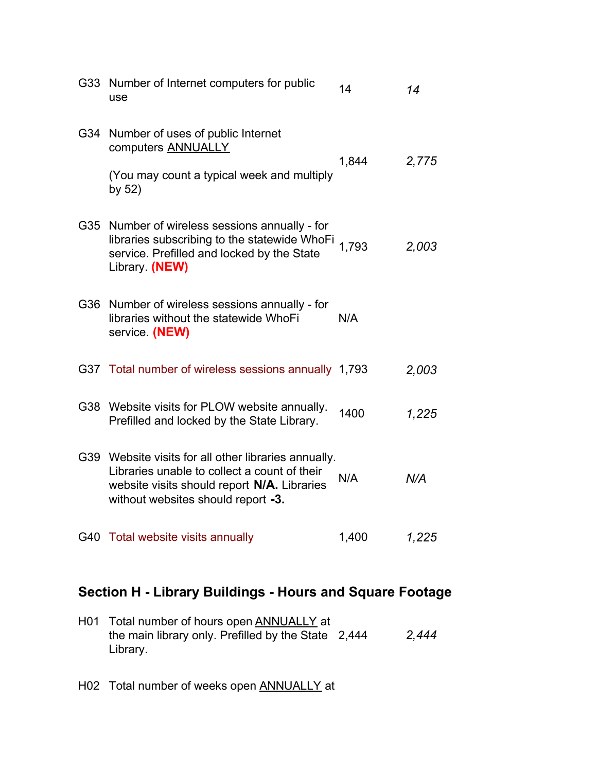| G33 | Number of Internet computers for public<br>use                                                                                                                                            | 14    | 14    |
|-----|-------------------------------------------------------------------------------------------------------------------------------------------------------------------------------------------|-------|-------|
| G34 | Number of uses of public Internet<br>computers <b>ANNUALLY</b><br>(You may count a typical week and multiply<br>by 52)                                                                    | 1,844 | 2,775 |
|     | G35 Number of wireless sessions annually - for<br>libraries subscribing to the statewide WhoFi<br>service. Prefilled and locked by the State<br>Library. (NEW)                            | 1,793 | 2,003 |
| G36 | Number of wireless sessions annually - for<br>libraries without the statewide WhoFi<br>service. (NEW)                                                                                     | N/A   |       |
|     | G37 Total number of wireless sessions annually 1,793                                                                                                                                      |       | 2,003 |
|     | G38 Website visits for PLOW website annually.<br>Prefilled and locked by the State Library.                                                                                               | 1400  | 1,225 |
|     | G39 Website visits for all other libraries annually.<br>Libraries unable to collect a count of their<br>website visits should report N/A. Libraries<br>without websites should report -3. | N/A   | N/A   |
|     | G40 Total website visits annually                                                                                                                                                         | 1,400 | 1,225 |

# **Section H - Library Buildings - Hours and Square Footage**

| H01 Total number of hours open ANNUALLY at          |       |
|-----------------------------------------------------|-------|
| the main library only. Prefilled by the State 2,444 | 2.444 |
| Library.                                            |       |

H02 Total number of weeks open **ANNUALLY** at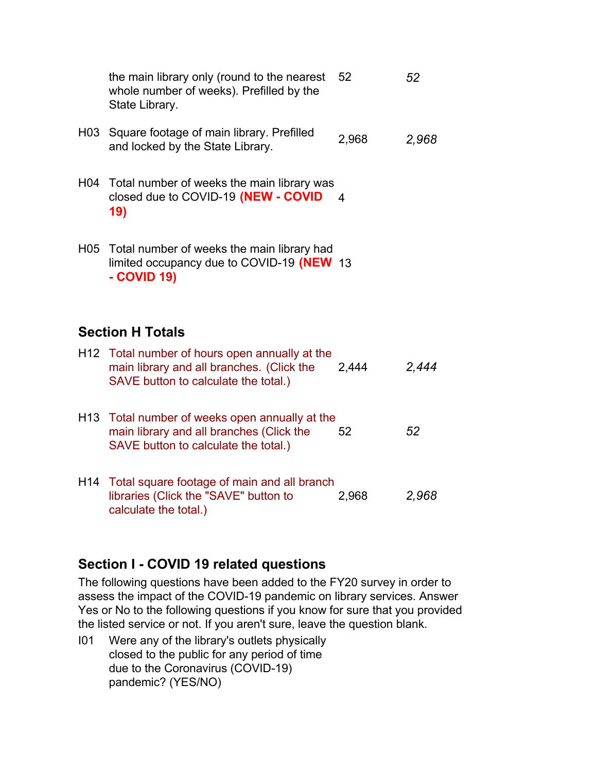|                         | the main library only (round to the nearest<br>whole number of weeks). Prefilled by the<br>State Library.                           | 52    | 52    |
|-------------------------|-------------------------------------------------------------------------------------------------------------------------------------|-------|-------|
| H03                     | Square footage of main library. Prefilled<br>and locked by the State Library.                                                       | 2,968 | 2,968 |
|                         | H04 Total number of weeks the main library was<br>closed due to COVID-19 (NEW - COVID<br>19)                                        | 4     |       |
|                         | H05 Total number of weeks the main library had<br>limited occupancy due to COVID-19 (NEW 13<br>- COVID 19)                          |       |       |
| <b>Section H Totals</b> |                                                                                                                                     |       |       |
|                         | H12 Total number of hours open annually at the<br>main library and all branches. (Click the<br>SAVE button to calculate the total.) | 2,444 | 2,444 |
|                         | H13 Total number of weeks open annually at the<br>main library and all branches (Click the<br>SAVE button to calculate the total.)  | 52    | 52    |
| H14                     | Total square footage of main and all branch                                                                                         |       |       |

# **Section I - COVID 19 related questions**

libraries (Click the "SAVE" button to

calculate the total.)

The following questions have been added to the FY20 survey in order to assess the impact of the COVID-19 pandemic on library services. Answer Yes or No to the following questions if you know for sure that you provided the listed service or not. If you aren't sure, leave the question blank.

2,968 *2,968*

I01 Were any of the library's outlets physically closed to the public for any period of time due to the Coronavirus (COVID-19) pandemic? (YES/NO)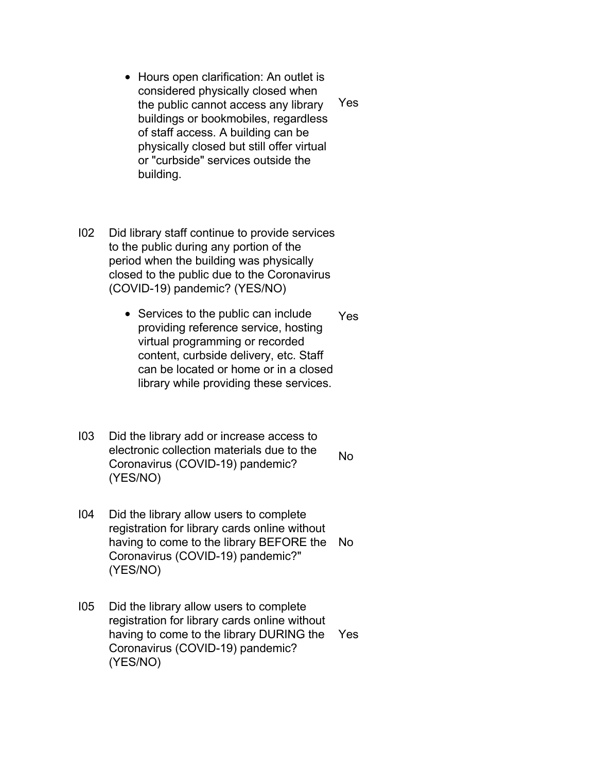- Hours open clarification: An outlet is considered physically closed when the public cannot access any library buildings or bookmobiles, regardless of staff access. A building can be physically closed but still offer virtual or "curbside" services outside the building. Yes
- I02 Did library staff continue to provide services to the public during any portion of the period when the building was physically closed to the public due to the Coronavirus (COVID-19) pandemic? (YES/NO)
	- Services to the public can include providing reference service, hosting virtual programming or recorded content, curbside delivery, etc. Staff can be located or home or in a closed library while providing these services. Yes
- I03 Did the library add or increase access to electronic collection materials due to the Coronavirus (COVID-19) pandemic? (YES/NO) No
- I04 Did the library allow users to complete registration for library cards online without having to come to the library BEFORE the Coronavirus (COVID-19) pandemic?" (YES/NO) No
- I05 Did the library allow users to complete registration for library cards online without having to come to the library DURING the Coronavirus (COVID-19) pandemic? (YES/NO) Yes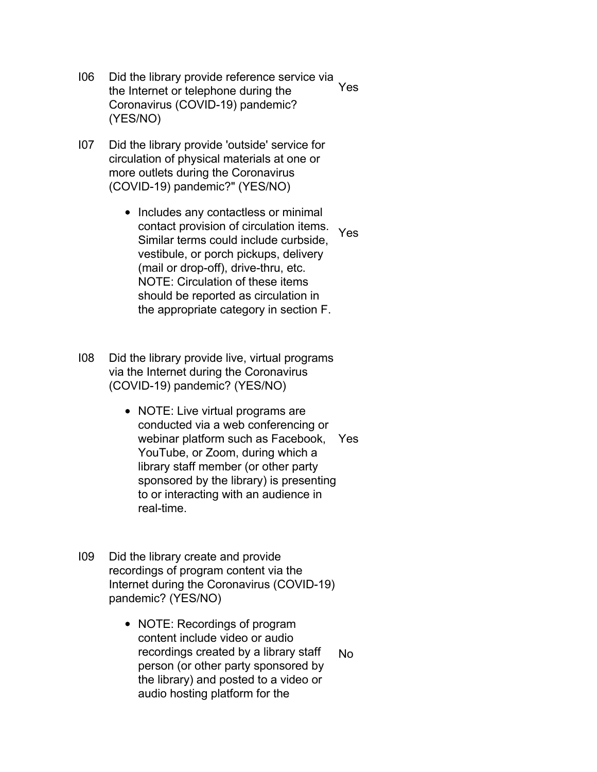- I06 Did the library provide reference service via the Internet or telephone during the Coronavirus (COVID-19) pandemic? (YES/NO) Yes
- I07 Did the library provide 'outside' service for circulation of physical materials at one or more outlets during the Coronavirus (COVID-19) pandemic?" (YES/NO)
	- Includes any contactless or minimal contact provision of circulation items. Similar terms could include curbside, vestibule, or porch pickups, delivery (mail or drop-off), drive-thru, etc. NOTE: Circulation of these items should be reported as circulation in the appropriate category in section F. Yes
- I08 Did the library provide live, virtual programs via the Internet during the Coronavirus (COVID-19) pandemic? (YES/NO)
	- NOTE: Live virtual programs are conducted via a web conferencing or webinar platform such as Facebook, Yes YouTube, or Zoom, during which a library staff member (or other party sponsored by the library) is presenting to or interacting with an audience in real-time.
- I09 Did the library create and provide recordings of program content via the Internet during the Coronavirus (COVID-19) pandemic? (YES/NO)
	- NOTE: Recordings of program content include video or audio recordings created by a library staff person (or other party sponsored by the library) and posted to a video or audio hosting platform for the No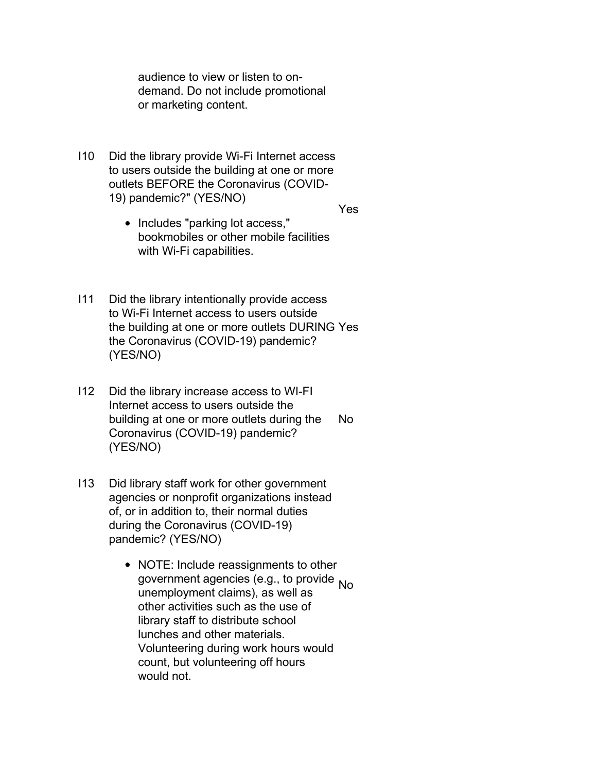audience to view or listen to ondemand. Do not include promotional or marketing content.

I10 Did the library provide Wi-Fi Internet access to users outside the building at one or more outlets BEFORE the Coronavirus (COVID-19) pandemic?" (YES/NO)

Yes

- Includes "parking lot access," bookmobiles or other mobile facilities with Wi-Fi capabilities.
- I11 Did the library intentionally provide access to Wi-Fi Internet access to users outside the building at one or more outlets DURING Yes the Coronavirus (COVID-19) pandemic? (YES/NO)
- I12 Did the library increase access to WI-FI Internet access to users outside the building at one or more outlets during the Coronavirus (COVID-19) pandemic? (YES/NO) No
- I13 Did library staff work for other government agencies or nonprofit organizations instead of, or in addition to, their normal duties during the Coronavirus (COVID-19) pandemic? (YES/NO)
	- NOTE: Include reassignments to other government agencies (e.g., to provide No unemployment claims), as well as other activities such as the use of library staff to distribute school lunches and other materials. Volunteering during work hours would count, but volunteering off hours would not.